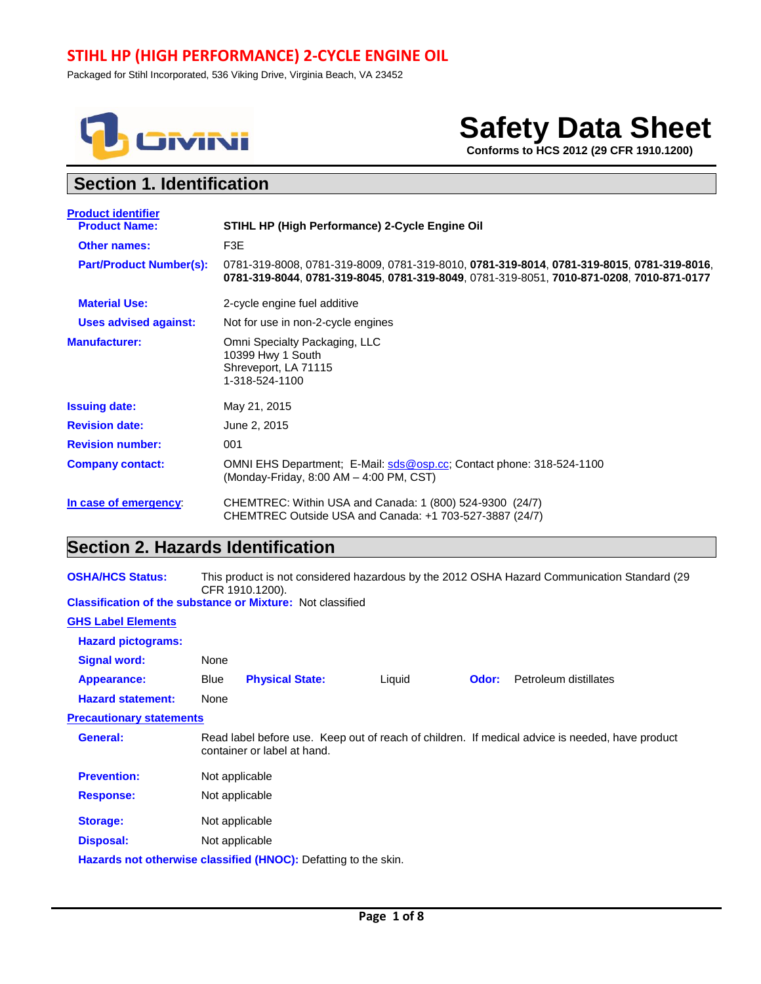# **STIHL HP (HIGH PERFORMANCE) 2-CYCLE ENGINE OIL**

Packaged for Stihl Incorporated, 536 Viking Drive, Virginia Beach, VA 23452



# **Safety Data Sheet**

 **Conforms to HCS 2012 (29 CFR 1910.1200)**

# **Section 1. Identification**

| <b>Product identifier</b>      |                                                                                                                                                                                       |
|--------------------------------|---------------------------------------------------------------------------------------------------------------------------------------------------------------------------------------|
| <b>Product Name:</b>           | STIHL HP (High Performance) 2-Cycle Engine Oil                                                                                                                                        |
| <b>Other names:</b>            | F3E                                                                                                                                                                                   |
| <b>Part/Product Number(s):</b> | 0781-319-8008, 0781-319-8009, 0781-319-8010, 0781-319-8014, 0781-319-8015, 0781-319-8016,<br>0781-319-8044, 0781-319-8045, 0781-319-8049, 0781-319-8051, 7010-871-0208, 7010-871-0177 |
| <b>Material Use:</b>           | 2-cycle engine fuel additive                                                                                                                                                          |
| <b>Uses advised against:</b>   | Not for use in non-2-cycle engines                                                                                                                                                    |
| <b>Manufacturer:</b>           | Omni Specialty Packaging, LLC<br>10399 Hwy 1 South<br>Shreveport, LA 71115<br>1-318-524-1100                                                                                          |
| <b>Issuing date:</b>           | May 21, 2015                                                                                                                                                                          |
| <b>Revision date:</b>          | June 2, 2015                                                                                                                                                                          |
| <b>Revision number:</b>        | 001                                                                                                                                                                                   |
| <b>Company contact:</b>        | OMNI EHS Department; E-Mail: sds@osp.cc; Contact phone: 318-524-1100<br>(Monday-Friday, 8:00 AM - 4:00 PM, CST)                                                                       |
| In case of emergency:          | CHEMTREC: Within USA and Canada: 1 (800) 524-9300 (24/7)<br>CHEMTREC Outside USA and Canada: +1 703-527-3887 (24/7)                                                                   |

# **Section 2. Hazards Identification**

| <b>OSHA/HCS Status:</b>                                           | This product is not considered hazardous by the 2012 OSHA Hazard Communication Standard (29<br>CFR 1910.1200).                 |                        |  |        |       |                       |
|-------------------------------------------------------------------|--------------------------------------------------------------------------------------------------------------------------------|------------------------|--|--------|-------|-----------------------|
| <b>Classification of the substance or Mixture: Not classified</b> |                                                                                                                                |                        |  |        |       |                       |
| <b>GHS Label Elements</b>                                         |                                                                                                                                |                        |  |        |       |                       |
| <b>Hazard pictograms:</b>                                         |                                                                                                                                |                        |  |        |       |                       |
| <b>Signal word:</b>                                               | None                                                                                                                           |                        |  |        |       |                       |
| Appearance:                                                       | Blue                                                                                                                           | <b>Physical State:</b> |  | Liquid | Odor: | Petroleum distillates |
| <b>Hazard statement:</b>                                          | None                                                                                                                           |                        |  |        |       |                       |
| <b>Precautionary statements</b>                                   |                                                                                                                                |                        |  |        |       |                       |
| General:                                                          | Read label before use. Keep out of reach of children. If medical advice is needed, have product<br>container or label at hand. |                        |  |        |       |                       |
| <b>Prevention:</b>                                                | Not applicable                                                                                                                 |                        |  |        |       |                       |
| <b>Response:</b>                                                  | Not applicable                                                                                                                 |                        |  |        |       |                       |
| <b>Storage:</b>                                                   | Not applicable                                                                                                                 |                        |  |        |       |                       |
| <b>Disposal:</b>                                                  | Not applicable                                                                                                                 |                        |  |        |       |                       |
| Hazards not otherwise classified (HNOC): Defatting to the skin.   |                                                                                                                                |                        |  |        |       |                       |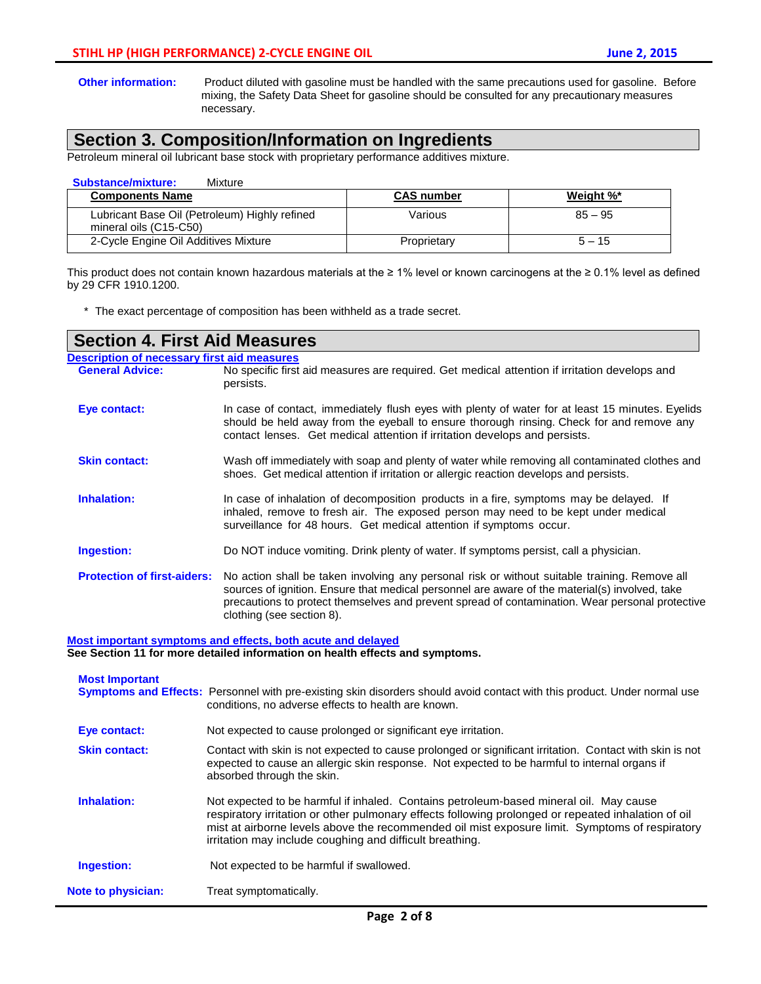**Other information:** Product diluted with gasoline must be handled with the same precautions used for gasoline. Before mixing, the Safety Data Sheet for gasoline should be consulted for any precautionary measures necessary.

# **Section 3. Composition/Information on Ingredients**

Petroleum mineral oil lubricant base stock with proprietary performance additives mixture.

| <b>Substance/mixture:</b><br>Mixture                                    |                   |           |  |
|-------------------------------------------------------------------------|-------------------|-----------|--|
| <b>Components Name</b>                                                  | <b>CAS number</b> | Weight %* |  |
| Lubricant Base Oil (Petroleum) Highly refined<br>mineral oils (C15-C50) | Various           | $85 - 95$ |  |
| 2-Cycle Engine Oil Additives Mixture                                    | Proprietary       | $5 - 15$  |  |

This product does not contain known hazardous materials at the ≥ 1% level or known carcinogens at the ≥ 0.1% level as defined by 29 CFR 1910.1200.

\* The exact percentage of composition has been withheld as a trade secret.

| <b>Section 4. First Aid Measures</b> |                                                                                                                                                                                                                                                                                                                                 |  |  |  |  |  |
|--------------------------------------|---------------------------------------------------------------------------------------------------------------------------------------------------------------------------------------------------------------------------------------------------------------------------------------------------------------------------------|--|--|--|--|--|
|                                      | <b>Description of necessary first aid measures</b>                                                                                                                                                                                                                                                                              |  |  |  |  |  |
| <b>General Advice:</b>               | No specific first aid measures are required. Get medical attention if irritation develops and<br>persists.                                                                                                                                                                                                                      |  |  |  |  |  |
| Eye contact:                         | In case of contact, immediately flush eyes with plenty of water for at least 15 minutes. Eyelids<br>should be held away from the eyeball to ensure thorough rinsing. Check for and remove any<br>contact lenses. Get medical attention if irritation develops and persists.                                                     |  |  |  |  |  |
| <b>Skin contact:</b>                 | Wash off immediately with soap and plenty of water while removing all contaminated clothes and<br>shoes. Get medical attention if irritation or allergic reaction develops and persists.                                                                                                                                        |  |  |  |  |  |
| <b>Inhalation:</b>                   | In case of inhalation of decomposition products in a fire, symptoms may be delayed. If<br>inhaled, remove to fresh air. The exposed person may need to be kept under medical<br>surveillance for 48 hours. Get medical attention if symptoms occur.                                                                             |  |  |  |  |  |
| Ingestion:                           | Do NOT induce vomiting. Drink plenty of water. If symptoms persist, call a physician.                                                                                                                                                                                                                                           |  |  |  |  |  |
| <b>Protection of first-aiders:</b>   | No action shall be taken involving any personal risk or without suitable training. Remove all<br>sources of ignition. Ensure that medical personnel are aware of the material(s) involved, take<br>precautions to protect themselves and prevent spread of contamination. Wear personal protective<br>clothing (see section 8). |  |  |  |  |  |

**Most important symptoms and effects, both acute and delayed See Section 11 for more detailed information on health effects and symptoms.**

| <b>Most Important</b>     | <b>Symptoms and Effects:</b> Personnel with pre-existing skin disorders should avoid contact with this product. Under normal use<br>conditions, no adverse effects to health are known.                                                                                                                                                                     |
|---------------------------|-------------------------------------------------------------------------------------------------------------------------------------------------------------------------------------------------------------------------------------------------------------------------------------------------------------------------------------------------------------|
| Eye contact:              | Not expected to cause prolonged or significant eye irritation.                                                                                                                                                                                                                                                                                              |
| <b>Skin contact:</b>      | Contact with skin is not expected to cause prolonged or significant irritation. Contact with skin is not<br>expected to cause an allergic skin response. Not expected to be harmful to internal organs if<br>absorbed through the skin.                                                                                                                     |
| Inhalation:               | Not expected to be harmful if inhaled. Contains petroleum-based mineral oil. May cause<br>respiratory irritation or other pulmonary effects following prolonged or repeated inhalation of oil<br>mist at airborne levels above the recommended oil mist exposure limit. Symptoms of respiratory<br>irritation may include coughing and difficult breathing. |
| Ingestion:                | Not expected to be harmful if swallowed.                                                                                                                                                                                                                                                                                                                    |
| <b>Note to physician:</b> | Treat symptomatically.                                                                                                                                                                                                                                                                                                                                      |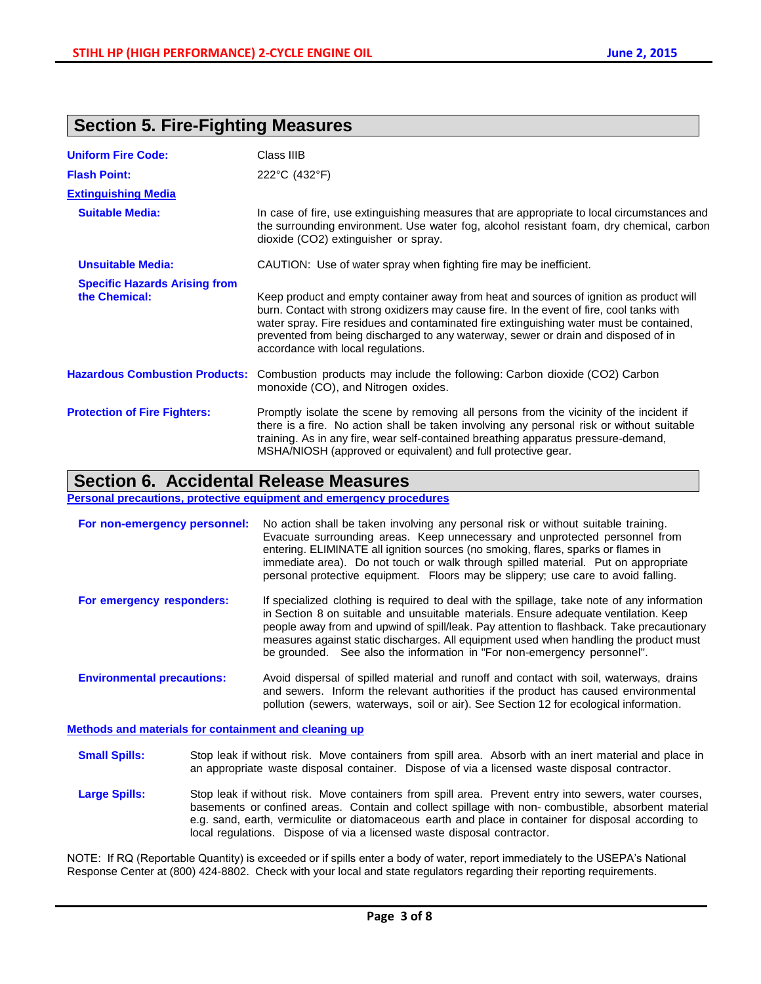# **Section 5. Fire-Fighting Measures**

| <b>Uniform Fire Code:</b>                             | Class IIIB                                                                                                                                                                                                                                                                                                                                                                                                  |
|-------------------------------------------------------|-------------------------------------------------------------------------------------------------------------------------------------------------------------------------------------------------------------------------------------------------------------------------------------------------------------------------------------------------------------------------------------------------------------|
| <b>Flash Point:</b>                                   | 222°C (432°F)                                                                                                                                                                                                                                                                                                                                                                                               |
| <b>Extinguishing Media</b>                            |                                                                                                                                                                                                                                                                                                                                                                                                             |
| <b>Suitable Media:</b>                                | In case of fire, use extinguishing measures that are appropriate to local circumstances and<br>the surrounding environment. Use water fog, alcohol resistant foam, dry chemical, carbon<br>dioxide (CO2) extinguisher or spray.                                                                                                                                                                             |
| <b>Unsuitable Media:</b>                              | CAUTION: Use of water spray when fighting fire may be inefficient.                                                                                                                                                                                                                                                                                                                                          |
| <b>Specific Hazards Arising from</b><br>the Chemical: | Keep product and empty container away from heat and sources of ignition as product will<br>burn. Contact with strong oxidizers may cause fire. In the event of fire, cool tanks with<br>water spray. Fire residues and contaminated fire extinguishing water must be contained,<br>prevented from being discharged to any waterway, sewer or drain and disposed of in<br>accordance with local regulations. |
| <b>Hazardous Combustion Products:</b>                 | Combustion products may include the following: Carbon dioxide (CO2) Carbon<br>monoxide (CO), and Nitrogen oxides.                                                                                                                                                                                                                                                                                           |
| <b>Protection of Fire Fighters:</b>                   | Promptly isolate the scene by removing all persons from the vicinity of the incident if<br>there is a fire. No action shall be taken involving any personal risk or without suitable<br>training. As in any fire, wear self-contained breathing apparatus pressure-demand,<br>MSHA/NIOSH (approved or equivalent) and full protective gear.                                                                 |

# **Section 6. Accidental Release Measures**

**Personal precautions, protective equipment and emergency procedures**

| For non-emergency personnel:      | No action shall be taken involving any personal risk or without suitable training.<br>Evacuate surrounding areas. Keep unnecessary and unprotected personnel from<br>entering. ELIMINATE all ignition sources (no smoking, flares, sparks or flames in<br>immediate area). Do not touch or walk through spilled material. Put on appropriate<br>personal protective equipment. Floors may be slippery; use care to avoid falling.                    |
|-----------------------------------|------------------------------------------------------------------------------------------------------------------------------------------------------------------------------------------------------------------------------------------------------------------------------------------------------------------------------------------------------------------------------------------------------------------------------------------------------|
| For emergency responders:         | If specialized clothing is required to deal with the spillage, take note of any information<br>in Section 8 on suitable and unsuitable materials. Ensure adequate ventilation. Keep<br>people away from and upwind of spill/leak. Pay attention to flashback. Take precautionary<br>measures against static discharges. All equipment used when handling the product must<br>be grounded. See also the information in "For non-emergency personnel". |
| <b>Environmental precautions:</b> | Avoid dispersal of spilled material and runoff and contact with soil, waterways, drains<br>and sewers. Inform the relevant authorities if the product has caused environmental<br>pollution (sewers, waterways, soil or air). See Section 12 for ecological information.                                                                                                                                                                             |

**Methods and materials for containment and cleaning up**

- **Small Spills:** Stop leak if without risk. Move containers from spill area. Absorb with an inert material and place in an appropriate waste disposal container. Dispose of via a licensed waste disposal contractor.
- Large Spills: Stop leak if without risk. Move containers from spill area. Prevent entry into sewers, water courses, basements or confined areas. Contain and collect spillage with non- combustible, absorbent material e.g. sand, earth, vermiculite or diatomaceous earth and place in container for disposal according to local regulations. Dispose of via a licensed waste disposal contractor.

NOTE: If RQ (Reportable Quantity) is exceeded or if spills enter a body of water, report immediately to the USEPA's National Response Center at (800) 424-8802. Check with your local and state regulators regarding their reporting requirements.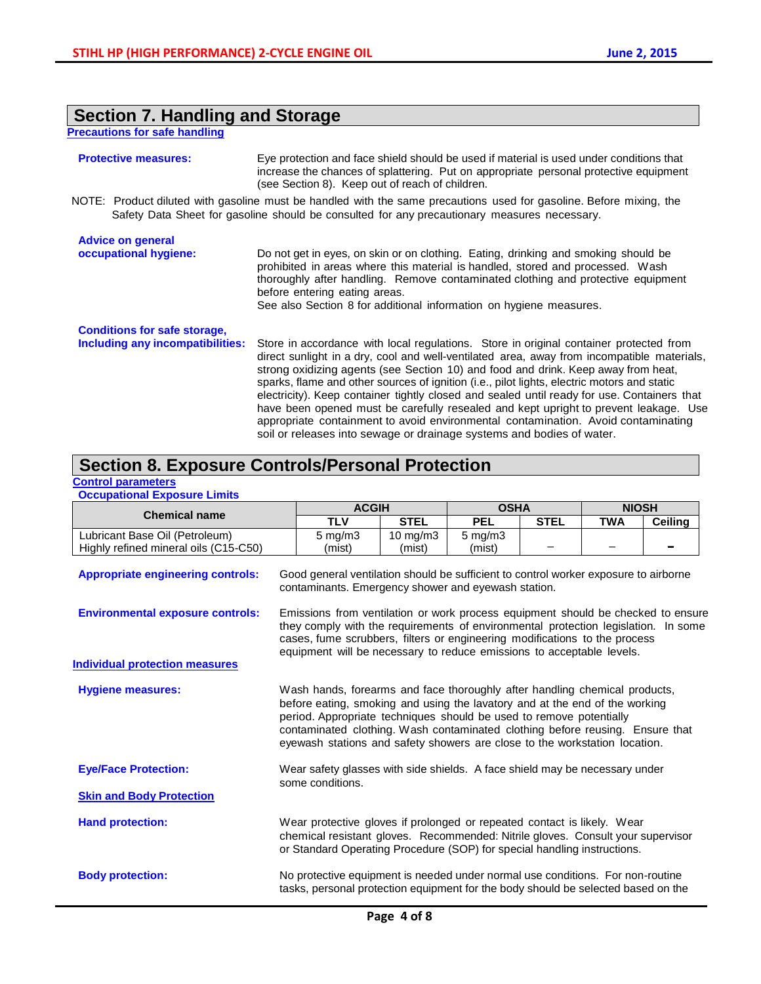## **Section 7. Handling and Storage**

**Precautions for safe handling**

#### **Protective measures:** Eye protection and face shield should be used if material is used under conditions that increase the chances of splattering. Put on appropriate personal protective equipment (see Section 8). Keep out of reach of children. NOTE: Product diluted with gasoline must be handled with the same precautions used for gasoline. Before mixing, the Safety Data Sheet for gasoline should be consulted for any precautionary measures necessary. **Advice on general**  Do not get in eyes, on skin or on clothing. Eating, drinking and smoking should be prohibited in areas where this material is handled, stored and processed. Wash thoroughly after handling. Remove contaminated clothing and protective equipment before entering eating areas. See also Section 8 for additional information on hygiene measures. **Conditions for safe storage, Including any incompatibilities:** Store in accordance with local regulations. Store in original container protected from direct sunlight in a dry, cool and well-ventilated area, away from incompatible materials, strong oxidizing agents (see Section 10) and food and drink. Keep away from heat, sparks, flame and other sources of ignition (i.e., pilot lights, electric motors and static electricity). Keep container tightly closed and sealed until ready for use. Containers that have been opened must be carefully resealed and kept upright to prevent leakage. Use appropriate containment to avoid environmental contamination. Avoid contaminating soil or releases into sewage or drainage systems and bodies of water.

## **Section 8. Exposure Controls/Personal Protection**

#### **Control parameters Occupational Exposure Limits**

| <b>Chemical name</b>                                                    |                                                                                                                                                                                                                                                                                                                                                                                                 | <b>ACGIH</b>                                                                                                                                                        |                    | <b>OSHA</b>            |             | <b>NIOSH</b> |                |
|-------------------------------------------------------------------------|-------------------------------------------------------------------------------------------------------------------------------------------------------------------------------------------------------------------------------------------------------------------------------------------------------------------------------------------------------------------------------------------------|---------------------------------------------------------------------------------------------------------------------------------------------------------------------|--------------------|------------------------|-------------|--------------|----------------|
|                                                                         |                                                                                                                                                                                                                                                                                                                                                                                                 | <b>TLV</b>                                                                                                                                                          | <b>STEL</b>        | <b>PEL</b>             | <b>STEL</b> | <b>TWA</b>   | <b>Ceiling</b> |
| Lubricant Base Oil (Petroleum)<br>Highly refined mineral oils (C15-C50) |                                                                                                                                                                                                                                                                                                                                                                                                 | $5$ mg/m $3$<br>(mist)                                                                                                                                              | 10 mg/m3<br>(mist) | $5$ mg/m $3$<br>(mist) |             |              |                |
| <b>Appropriate engineering controls:</b>                                |                                                                                                                                                                                                                                                                                                                                                                                                 | Good general ventilation should be sufficient to control worker exposure to airborne<br>contaminants. Emergency shower and eyewash station.                         |                    |                        |             |              |                |
| <b>Environmental exposure controls:</b>                                 | Emissions from ventilation or work process equipment should be checked to ensure<br>they comply with the requirements of environmental protection legislation. In some<br>cases, fume scrubbers, filters or engineering modifications to the process<br>equipment will be necessary to reduce emissions to acceptable levels.                                                                   |                                                                                                                                                                     |                    |                        |             |              |                |
| <b>Individual protection measures</b>                                   |                                                                                                                                                                                                                                                                                                                                                                                                 |                                                                                                                                                                     |                    |                        |             |              |                |
| <b>Hygiene measures:</b>                                                | Wash hands, forearms and face thoroughly after handling chemical products,<br>before eating, smoking and using the lavatory and at the end of the working<br>period. Appropriate techniques should be used to remove potentially<br>contaminated clothing. Wash contaminated clothing before reusing. Ensure that<br>eyewash stations and safety showers are close to the workstation location. |                                                                                                                                                                     |                    |                        |             |              |                |
| <b>Eye/Face Protection:</b>                                             | Wear safety glasses with side shields. A face shield may be necessary under<br>some conditions.                                                                                                                                                                                                                                                                                                 |                                                                                                                                                                     |                    |                        |             |              |                |
| <b>Skin and Body Protection</b>                                         |                                                                                                                                                                                                                                                                                                                                                                                                 |                                                                                                                                                                     |                    |                        |             |              |                |
| <b>Hand protection:</b>                                                 | Wear protective gloves if prolonged or repeated contact is likely. Wear<br>chemical resistant gloves. Recommended: Nitrile gloves. Consult your supervisor<br>or Standard Operating Procedure (SOP) for special handling instructions.                                                                                                                                                          |                                                                                                                                                                     |                    |                        |             |              |                |
| <b>Body protection:</b>                                                 |                                                                                                                                                                                                                                                                                                                                                                                                 | No protective equipment is needed under normal use conditions. For non-routine<br>tasks, personal protection equipment for the body should be selected based on the |                    |                        |             |              |                |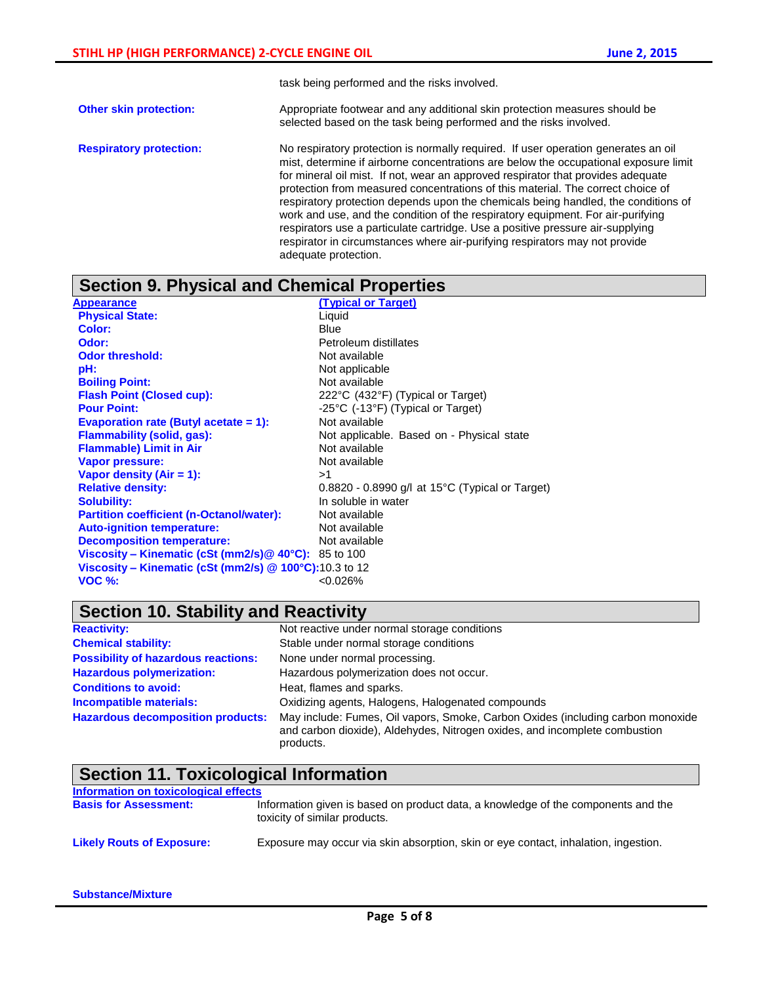task being performed and the risks involved.

- **Other skin protection:** Appropriate footwear and any additional skin protection measures should be selected based on the task being performed and the risks involved.
- **Respiratory protection:** No respiratory protection is normally required. If user operation generates an oil mist, determine if airborne concentrations are below the occupational exposure limit for mineral oil mist. If not, wear an approved respirator that provides adequate protection from measured concentrations of this material. The correct choice of respiratory protection depends upon the chemicals being handled, the conditions of work and use, and the condition of the respiratory equipment. For air-purifying respirators use a particulate cartridge. Use a positive pressure air-supplying respirator in circumstances where air-purifying respirators may not provide adequate protection.

### **Section 9. Physical and Chemical Properties**

| Appearance                                                   | <b>(Typical or Target)</b>                        |
|--------------------------------------------------------------|---------------------------------------------------|
| <b>Physical State:</b>                                       | Liquid                                            |
| <b>Color:</b>                                                | Blue                                              |
| Odor:                                                        | Petroleum distillates                             |
| <b>Odor threshold:</b>                                       | Not available                                     |
| pH:                                                          | Not applicable                                    |
| <b>Boiling Point:</b>                                        | Not available                                     |
| <b>Flash Point (Closed cup):</b>                             | 222°C (432°F) (Typical or Target)                 |
| <b>Pour Point:</b>                                           | -25°C (-13°F) (Typical or Target)                 |
| Evaporation rate (Butyl acetate $= 1$ ):                     | Not available                                     |
| <b>Flammability (solid, gas):</b>                            | Not applicable. Based on - Physical state         |
| <b>Flammable) Limit in Air</b>                               | Not available                                     |
| <b>Vapor pressure:</b>                                       | Not available                                     |
| Vapor density $(Air = 1)$ :                                  | >1                                                |
| <b>Relative density:</b>                                     | $0.8820 - 0.8990$ g/l at 15°C (Typical or Target) |
| <b>Solubility:</b>                                           | In soluble in water                               |
| <b>Partition coefficient (n-Octanol/water):</b>              | Not available                                     |
| <b>Auto-ignition temperature:</b>                            | Not available                                     |
| <b>Decomposition temperature:</b>                            | Not available                                     |
| <b>Viscosity – Kinematic (cSt (mm2/s) @ 40°C):</b> 85 to 100 |                                                   |
| Viscosity – Kinematic (cSt (mm2/s) $@$ 100 $°C$ ):10.3 to 12 |                                                   |
| <b>VOC %:</b>                                                | < 0.026%                                          |

# **Section 10. Stability and Reactivity**

| <b>Reactivity:</b>                         | Not reactive under normal storage conditions                                                                                                                               |  |  |
|--------------------------------------------|----------------------------------------------------------------------------------------------------------------------------------------------------------------------------|--|--|
| <b>Chemical stability:</b>                 | Stable under normal storage conditions                                                                                                                                     |  |  |
| <b>Possibility of hazardous reactions:</b> | None under normal processing.                                                                                                                                              |  |  |
| <b>Hazardous polymerization:</b>           | Hazardous polymerization does not occur.                                                                                                                                   |  |  |
| <b>Conditions to avoid:</b>                | Heat, flames and sparks.                                                                                                                                                   |  |  |
| Incompatible materials:                    | Oxidizing agents, Halogens, Halogenated compounds                                                                                                                          |  |  |
| <b>Hazardous decomposition products:</b>   | May include: Fumes, Oil vapors, Smoke, Carbon Oxides (including carbon monoxide<br>and carbon dioxide), Aldehydes, Nitrogen oxides, and incomplete combustion<br>products. |  |  |

| Section 11. Toxicological Information |                                                                                                                    |  |  |  |
|---------------------------------------|--------------------------------------------------------------------------------------------------------------------|--|--|--|
| Information on toxicological effects  |                                                                                                                    |  |  |  |
| <b>Basis for Assessment:</b>          | Information given is based on product data, a knowledge of the components and the<br>toxicity of similar products. |  |  |  |
| <b>Likely Routs of Exposure:</b>      | Exposure may occur via skin absorption, skin or eye contact, inhalation, ingestion.                                |  |  |  |

#### **Substance/Mixture**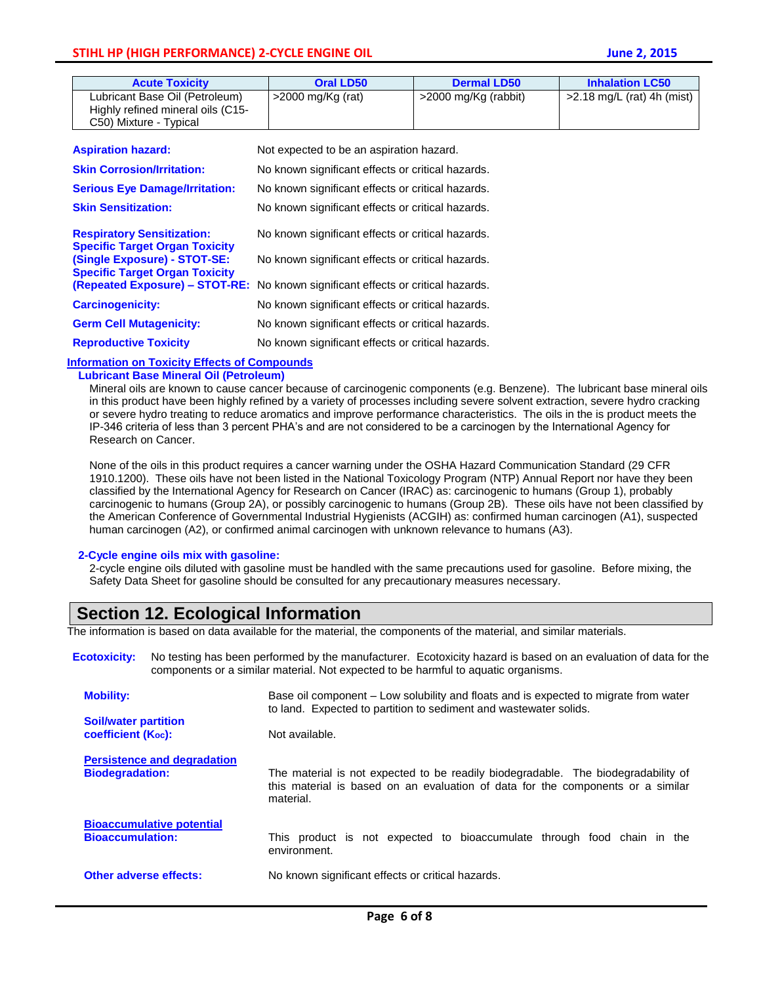| <b>Acute Toxicity</b>                                                                         | <b>Oral LD50</b>                         | <b>Dermal LD50</b>   | <b>Inhalation LC50</b>       |
|-----------------------------------------------------------------------------------------------|------------------------------------------|----------------------|------------------------------|
| Lubricant Base Oil (Petroleum)<br>Highly refined mineral oils (C15-<br>C50) Mixture - Typical | >2000 mg/Kg (rat)                        | >2000 mg/Kg (rabbit) | $>2.18$ mg/L (rat) 4h (mist) |
| <b>Aspiration hazard:</b>                                                                     | Not expected to be an aspiration hazard. |                      |                              |

| <b>Skin Corrosion/Irritation:</b>                                            | No known significant effects or critical hazards.                                |
|------------------------------------------------------------------------------|----------------------------------------------------------------------------------|
| <b>Serious Eye Damage/Irritation:</b>                                        | No known significant effects or critical hazards.                                |
| <b>Skin Sensitization:</b>                                                   | No known significant effects or critical hazards.                                |
| <b>Respiratory Sensitization:</b><br><b>Specific Target Organ Toxicity</b>   | No known significant effects or critical hazards.                                |
| <b>(Single Exposure) - STOT-SE:</b><br><b>Specific Target Organ Toxicity</b> | No known significant effects or critical hazards.                                |
|                                                                              | (Repeated Exposure) - STOT-RE: No known significant effects or critical hazards. |
| <b>Carcinogenicity:</b>                                                      | No known significant effects or critical hazards.                                |
| <b>Germ Cell Mutagenicity:</b>                                               | No known significant effects or critical hazards.                                |
| <b>Reproductive Toxicity</b>                                                 | No known significant effects or critical hazards.                                |

#### **Information on Toxicity Effects of Compounds**

#### **Lubricant Base Mineral Oil (Petroleum)**

Mineral oils are known to cause cancer because of carcinogenic components (e.g. Benzene). The lubricant base mineral oils in this product have been highly refined by a variety of processes including severe solvent extraction, severe hydro cracking or severe hydro treating to reduce aromatics and improve performance characteristics. The oils in the is product meets the IP-346 criteria of less than 3 percent PHA's and are not considered to be a carcinogen by the International Agency for Research on Cancer.

None of the oils in this product requires a cancer warning under the OSHA Hazard Communication Standard (29 CFR 1910.1200). These oils have not been listed in the National Toxicology Program (NTP) Annual Report nor have they been classified by the International Agency for Research on Cancer (IRAC) as: carcinogenic to humans (Group 1), probably carcinogenic to humans (Group 2A), or possibly carcinogenic to humans (Group 2B). These oils have not been classified by the American Conference of Governmental Industrial Hygienists (ACGIH) as: confirmed human carcinogen (A1), suspected human carcinogen (A2), or confirmed animal carcinogen with unknown relevance to humans (A3).

#### **2-Cycle engine oils mix with gasoline:**

2-cycle engine oils diluted with gasoline must be handled with the same precautions used for gasoline. Before mixing, the Safety Data Sheet for gasoline should be consulted for any precautionary measures necessary.

### **Section 12. Ecological Information**

The information is based on data available for the material, the components of the material, and similar materials.

**Ecotoxicity:** No testing has been performed by the manufacturer. Ecotoxicity hazard is based on an evaluation of data for the components or a similar material. Not expected to be harmful to aquatic organisms.

| <b>Mobility:</b>                                             | Base oil component – Low solubility and floats and is expected to migrate from water<br>to land. Expected to partition to sediment and wastewater solids.                         |  |
|--------------------------------------------------------------|-----------------------------------------------------------------------------------------------------------------------------------------------------------------------------------|--|
| <b>Soil/water partition</b><br><b>coefficient (Koc):</b>     | Not available.                                                                                                                                                                    |  |
| <b>Persistence and degradation</b><br><b>Biodegradation:</b> | The material is not expected to be readily biodegradable. The biodegradability of<br>this material is based on an evaluation of data for the components or a similar<br>material. |  |
| <b>Bioaccumulative potential</b><br><b>Bioaccumulation:</b>  | This product is not expected to bioaccumulate through food chain in the<br>environment.                                                                                           |  |
| <b>Other adverse effects:</b>                                | No known significant effects or critical hazards.                                                                                                                                 |  |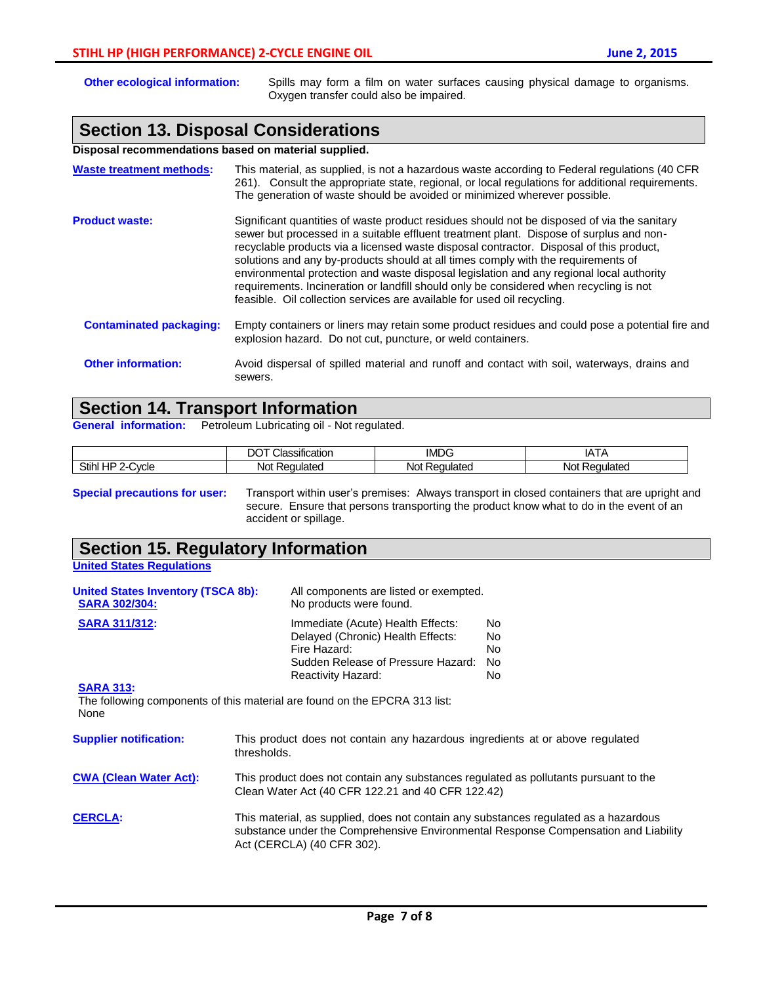|  | <b>June 2, 2015</b> |
|--|---------------------|
|  |                     |

| <b>Other ecological information:</b>                 | Spills may form a film on water surfaces causing physical damage to organisms.<br>Oxygen transfer could also be impaired.                                                                                                                                                                                                                                                                                                                                                                                                                                                                                                               |  |
|------------------------------------------------------|-----------------------------------------------------------------------------------------------------------------------------------------------------------------------------------------------------------------------------------------------------------------------------------------------------------------------------------------------------------------------------------------------------------------------------------------------------------------------------------------------------------------------------------------------------------------------------------------------------------------------------------------|--|
|                                                      | <b>Section 13. Disposal Considerations</b>                                                                                                                                                                                                                                                                                                                                                                                                                                                                                                                                                                                              |  |
| Disposal recommendations based on material supplied. |                                                                                                                                                                                                                                                                                                                                                                                                                                                                                                                                                                                                                                         |  |
| <b>Waste treatment methods:</b>                      | This material, as supplied, is not a hazardous waste according to Federal regulations (40 CFR<br>261). Consult the appropriate state, regional, or local regulations for additional requirements.<br>The generation of waste should be avoided or minimized wherever possible.                                                                                                                                                                                                                                                                                                                                                          |  |
| <b>Product waste:</b>                                | Significant quantities of waste product residues should not be disposed of via the sanitary<br>sewer but processed in a suitable effluent treatment plant. Dispose of surplus and non-<br>recyclable products via a licensed waste disposal contractor. Disposal of this product,<br>solutions and any by-products should at all times comply with the requirements of<br>environmental protection and waste disposal legislation and any regional local authority<br>requirements. Incineration or landfill should only be considered when recycling is not<br>feasible. Oil collection services are available for used oil recycling. |  |
| <b>Contaminated packaging:</b>                       | Empty containers or liners may retain some product residues and could pose a potential fire and<br>explosion hazard. Do not cut, puncture, or weld containers.                                                                                                                                                                                                                                                                                                                                                                                                                                                                          |  |
| <b>Other information:</b>                            | Avoid dispersal of spilled material and runoff and contact with soil, waterways, drains and<br>sewers.                                                                                                                                                                                                                                                                                                                                                                                                                                                                                                                                  |  |

# **Section 14. Transport Information**

**General information:** Petroleum Lubricating oil - Not regulated.

|                                 | $\cdot$<br>$\sim$<br>ssification<br>↗ | <b>IMDG</b>   | .<br>$\mathbf{v}$<br>.<br>$\sqrt{ }$ |
|---------------------------------|---------------------------------------|---------------|--------------------------------------|
| Stihl<br><br>;∨cle<br>пr<br>. . | ⊀eɑulated<br>NOt                      | uulated<br>NΟ | equlated<br>Not                      |

**Special precautions for user:** Transport within user's premises: Always transport in closed containers that are upright and secure. Ensure that persons transporting the product know what to do in the event of an accident or spillage.

# **Section 15. Regulatory Information**

**United States Regulations**

| <b>United States Inventory (TSCA 8b):</b><br><b>SARA 302/304:</b>                  |                                                                                                                                                                                                           | All components are listed or exempted.<br>No products were found.                                            |                                 |  |
|------------------------------------------------------------------------------------|-----------------------------------------------------------------------------------------------------------------------------------------------------------------------------------------------------------|--------------------------------------------------------------------------------------------------------------|---------------------------------|--|
| <b>SARA 311/312:</b><br><b>SARA 313:</b>                                           | Fire Hazard:<br>Reactivity Hazard:                                                                                                                                                                        | Immediate (Acute) Health Effects:<br>Delayed (Chronic) Health Effects:<br>Sudden Release of Pressure Hazard: | No.<br>No.<br>No.<br>No.<br>No. |  |
| The following components of this material are found on the EPCRA 313 list:<br>None |                                                                                                                                                                                                           |                                                                                                              |                                 |  |
| <b>Supplier notification:</b>                                                      | This product does not contain any hazardous ingredients at or above regulated<br>thresholds.                                                                                                              |                                                                                                              |                                 |  |
| <b>CWA (Clean Water Act):</b>                                                      | This product does not contain any substances regulated as pollutants pursuant to the<br>Clean Water Act (40 CFR 122.21 and 40 CFR 122.42)                                                                 |                                                                                                              |                                 |  |
| <b>CERCLA:</b>                                                                     | This material, as supplied, does not contain any substances regulated as a hazardous<br>substance under the Comprehensive Environmental Response Compensation and Liability<br>Act (CERCLA) (40 CFR 302). |                                                                                                              |                                 |  |